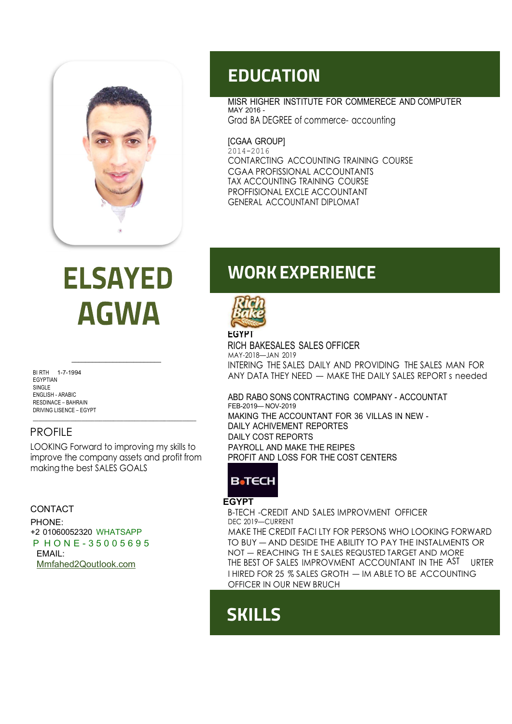

**ELSAYED AGWA** 

BI RTH 1-7-1994 EGYPTIAN SINGLE<sub></sub> RESDINACE – BAHRAIN<br>DRIVING LISENCE – EGYPT

### PROFILE

LOOKING Forward to improving my skills to improve the company assets and profit from making the best SALES GOALS

#### CONTACT

PHONE: +2 01060052320 WHATSAPP P H O N E - 3 5 0 0 5 6 9 5 EMAIL: Mmfahed2QoutIook.com

### EDUCATION

MISR HIGHER INSTITUTE FOR COMMERECE AND COMPUTER MAY 2016 - Grad BA DEGREE of commerce- accounting

[CGAA GROUP] 2014-2016 CONTARCTING ACCOUNTING TRAINING COURSE CGAA PROFISSIONAL ACCOUNTANTS TAX ACCOUNTING TRAINING COURSE PROFFISIONAL EXCLE ACCOUNTANT GENERAL ACCOUNTANT DIPLOMAT

## WORK EXPERIENCE



wat-2010—3anx 2017<br>INTERING THE SALES DAILY AND PROVIDING THE SALES MAN FOR RICH BAKESALES SALES OFFICER MAY-2018—JAN 2019 ANY DATA THEY NEED — MAKE THE DAILY SALES REPORT s needed

ENGLISH - ARABIC - ARABIC SONS CONTRACTING COMPANY - ACCOUNTAT DRIVING LISENCE – EGYPT **EXAMPLE 2000 THE ACCOUNTANT FOR 36 VILLAS IN NEW -**FEB-2019— NOV-2019 DAILY ACHIVEMENT REPORTES DAILY COST REPORTS PAYROLL AND MAKE THE REIPES PROFIT AND LOSS FOR THE COST CENTERS

### **B**</u>TECH

#### **EGYPT**

B-TECH -CREDIT AND SALES IMPROVMENT OFFICER DEC 2019—CURRENT MAKE THE CREDIT FACI LTY FOR PERSONS WHO LOOKING FORWARD TO BUY — AND DESIDE THE ABILITY TO PAY THE INSTALMENTS OR NOT — REACHING TH E SALES REQUSTED TARGET AND MORE THE BEST OF SALES IMPROVMENT ACCOUNTANT IN THE AST URTER I HIRED FOR 25 % SALES GROTH — IM ABLE TO BE ACCOUNTING OFFICER IN OUR NEW BRUCH

# **SKILLS**